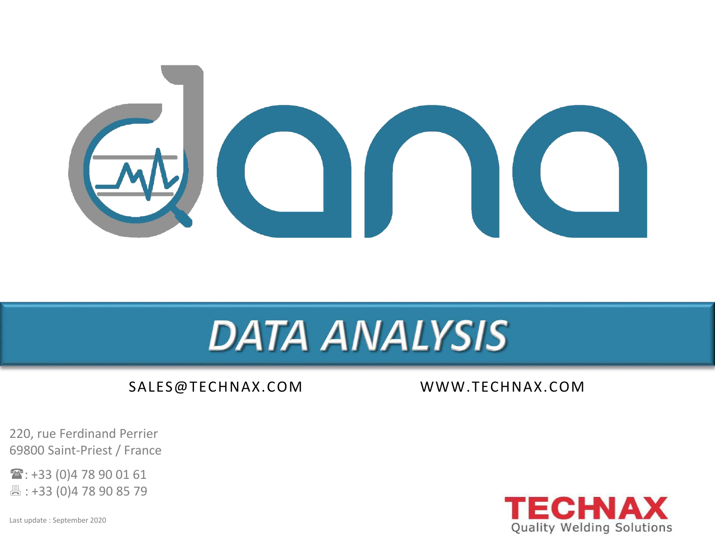

# **DATA ANALYSIS**

#### SALES@TECHNAX.COM WWW.TECHNAX.COM

220, rue Ferdinand Perrier 69800 Saint-Priest / France

: +33 (0)4 78 90 01 61 : +33 (0)4 78 90 85 79

Last update : September 2020

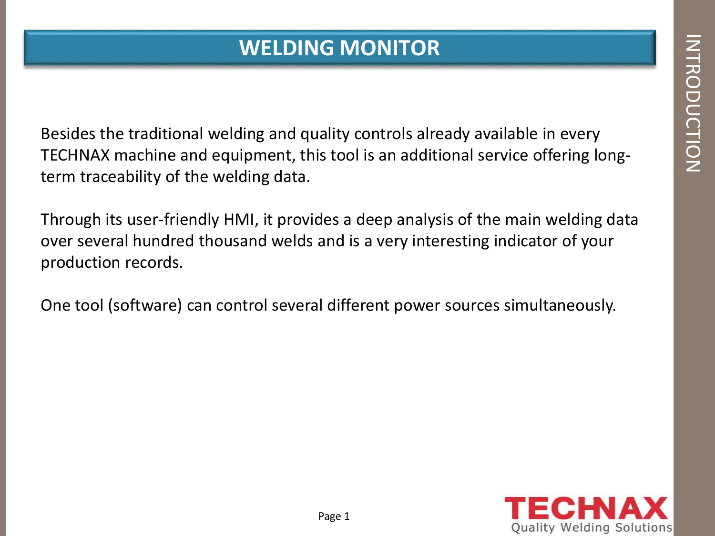### **WELDING MONITOR**

Besides the traditional welding and quality controls already available in every TECHNAX machine and equipment, this tool is an additional service offering longterm traceability of the welding data.

Through its user-friendly HMI, it provides a deep analysis of the main welding data over several hundred thousand welds and is a very interesting indicator of your production records.

One tool (software) can control several different power sources simultaneously.

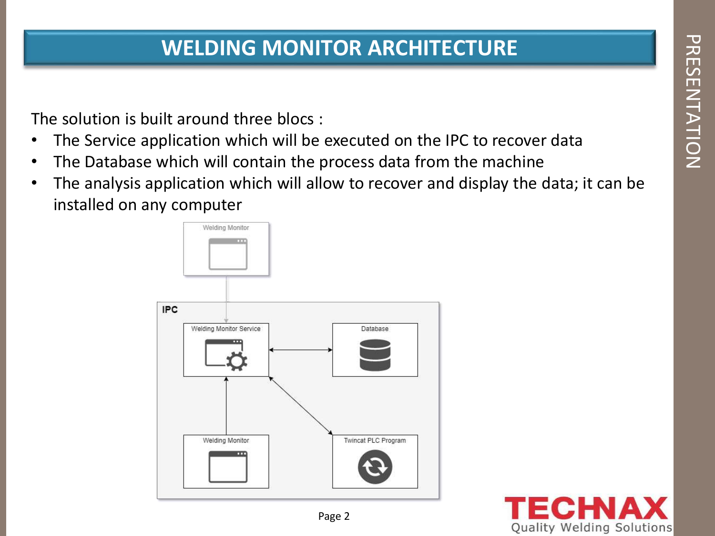### **WELDING MONITOR ARCHITECTURE**

The solution is built around three blocs :

- The Service application which will be executed on the IPC to recover data
- The Database which will contain the process data from the machine
- The analysis application which will allow to recover and display the data; it can be installed on any computer



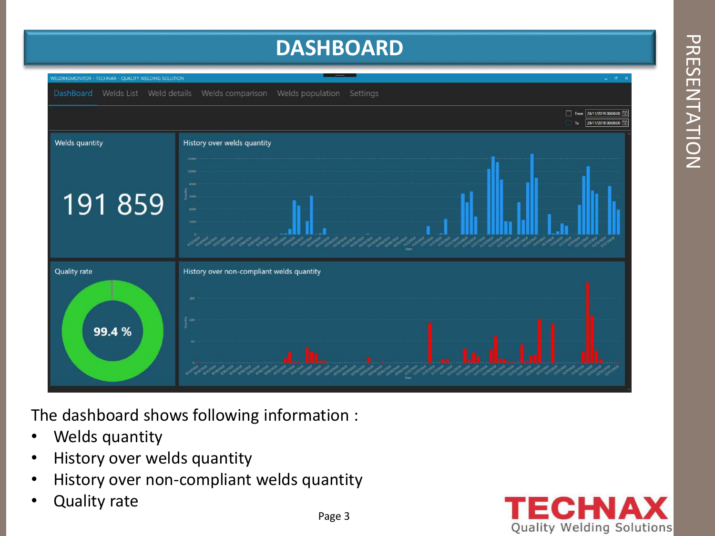### **DASHBOARD**



The dashboard shows following information :

- Welds quantity
- History over welds quantity
- History over non-compliant welds quantity
- Quality rate

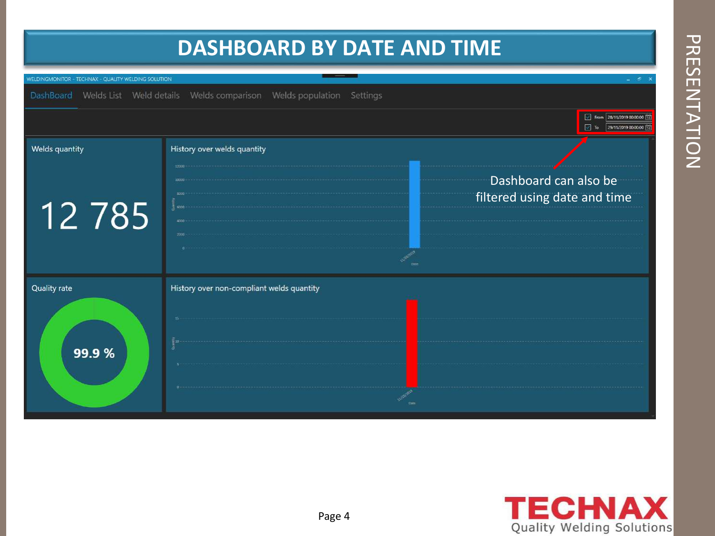## **DASHBOARD BY DATE AND TIME TECHNAX - QUALITY WELDING SOLUTION** DashBoard Welds List Weld details Welds comparison Welds population Settings From 28/11/2019 00:00:00 [11]  $\frac{1}{29/10^{2019}0000000}$ Welds quantity History over welds quantity Dashboard can also be filtered using date and time12785 Quality rate History over non-compliant welds quantity 99.9 %

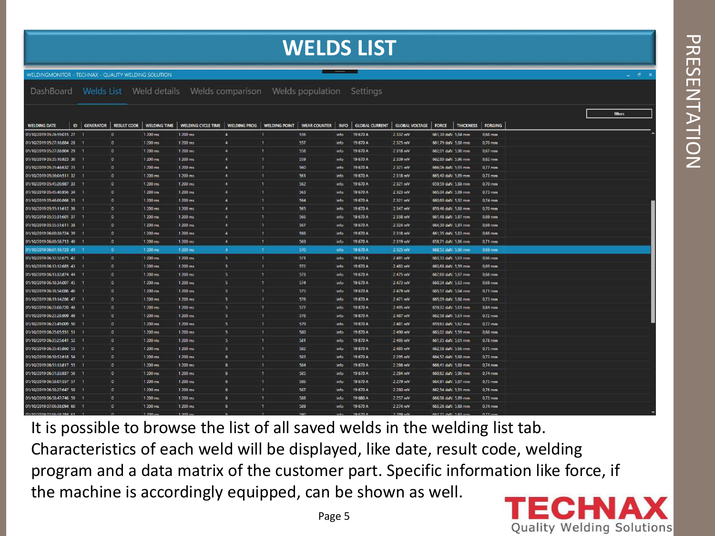### **WELDS LIST**

**VELDINGMONITOR - TECHNAX - OUALITY WELDING SOLUTION.** 

Welds comparison Welds population Settings DashBoard Welds List Weld details

|                              |                     |                    |                     |                                   |                |               |                     |             |          |                               |                    |                   |            |  | <b>filters</b> |  |
|------------------------------|---------------------|--------------------|---------------------|-----------------------------------|----------------|---------------|---------------------|-------------|----------|-------------------------------|--------------------|-------------------|------------|--|----------------|--|
| <b>WELDING DATE</b>          | <b>ID GENERATOR</b> | <b>RESULT CODE</b> | <b>WELDING TIME</b> | WELDING CYCLE TIME   WELDING PROG |                | WELDING POINT | <b>WEAR COUNTER</b> | <b>INFO</b> |          | GLOBAL CURRENT GLOBAL VOLTAGE | FORCE              | THICKNESS FORGING |            |  |                |  |
| 01/10/2019 05:26:59:015 27 1 |                     | D.                 | $1200 \, \text{ms}$ | $1200$ ms                         | $\mathbf{A}$   |               | 556                 | info.       | 19.670 A | 2 3 3 2 mV                    | 661.30 daN 5.84 mm |                   | 0.68 mm    |  |                |  |
| 01/10/2019 05:27:18:884 28   |                     | $\overline{0}$     | 1 200 ms            | 1.200 ms.                         | $\overline{4}$ |               | 557                 | info        | 19670 A  | 2325 mV                       | 661,79 daN 5,88 mm |                   | 0,70 mm    |  |                |  |
| 01/10/2019 05:27:38:904 29   |                     | $\overline{0}$     | 1 200 ms            | 1.200 ms                          | $\overline{4}$ | п             | 558                 | info        | 19.670 A | 2318 mV                       | 662.01 daN 5,90 mm |                   | $0.67$ rom |  |                |  |
| 01/10/2019 05:35:10:923 30   |                     | $\overline{0}$     | 1 200 ms            | 1 200 ms                          | $\overline{a}$ |               | 559                 | info        | 19 670 A | 2339 mV                       | 662,80 daN 5,96 mm |                   | 0.82 mm    |  |                |  |
| 01/10/2019 05:35:44:632 31   |                     | D.                 | $1200$ ms           | 1.200 ms                          | $\overline{4}$ |               | 560                 | info.       | 19670 A  | 2321 mV                       | 66606 daN 5,91 mm  |                   | 0.77 mm    |  |                |  |
| 01/10/2019 05:36:04:511 32   |                     | 10                 | 1 200 ms.           | 1 200 ms                          | ×              |               | 561                 | info        | 19670 A  | 2 3 18 mV                     | 665,40 daN 5,89 mm |                   | 0,73 mm    |  |                |  |
| 01/10/2019 05:45:20:987 33   |                     | $\overline{0}$     | 1 200 ms            | 1 200 ms                          | L.             |               | 562                 | info:       | 19 670 A | 2321 mV                       | 659,59 daN 5,88 mm |                   | 0,70 mm    |  |                |  |
| 01/10/2019 05:45:40:956 34   |                     | o                  | 1 200 ms            | 1 200 ms                          | a              |               | 563                 | info        | 19 670 A | 2323 mV                       | 665,04 dal 5,89 mm |                   | $0.73$ mm  |  |                |  |
| 01/10/2019 05:46:00:866 35   |                     | 10                 | 1 200 ms            | 1 200 ms                          | 4              |               | 564                 | info        | 19 670 A | 2 321 mV                      | 660,60 daN 5,92 mm |                   | 0.74 mm    |  |                |  |
| 01/10/2019 05:55:11:612 36   |                     | $\overline{0}$     | 1 200 ms            | 1200 ms                           | $\overline{4}$ |               | 565                 | info        | 19670 A  | 2.347 mV                      | 659.46 daN 5,88 mm |                   | 0.70 mm    |  |                |  |
| 01/10/2019 05:55:31:601 37   |                     | 10                 | 1 200 ms            | 1 200 ms                          | 14             | п             | 566                 | info.       | 19670 A  | 2 3 38 mV                     | 661,48 daN 5,87 mm |                   | 0.69 mm    |  |                |  |
| 01/10/2019 05:55:51:611 38   |                     | lo                 | 1 200 ms            | 1 200 ms                          | и              |               | 567                 | info        | 19 670 A | 2 3 24 mV                     | 664,30 daN 5,91 mm |                   | 0.69 mm    |  |                |  |
| 01/10/2019 06:00:38:724 39   |                     | O                  | 1 200 ms            | 1.200 ms                          | 4              |               | 568                 | info        | 19 670 A | 2 318 mV                      | 661,35 daN 5,83 mm |                   | 0,66 mm    |  |                |  |
| 01/10/2019 06:00:58:713 40   | - 1                 | $\overline{0}$     | $1200$ ms.          | 1 200 ms                          | $\overline{4}$ | я             | 569                 | info.       | 19 670 A | 2319 mV                       | 658.71 daN 5.86 mm |                   | 0.71 mm    |  |                |  |
| 01/10/2019 06:01 18:723 41 1 |                     | $\alpha$           | $1,200$ ms          | 1 200 ms                          | -4             | п.            | 570                 | info:       | 19570 A  | 2325 mV                       | 668.52 daN 5.86 mm |                   | 0.69 mm    |  |                |  |
| 01/10/2019 06:12:52:675 42 1 |                     | lo:                | 1 200 ms            | 1 200 ms                          | 15.            | п             | 571                 | info.       | 19670 A  | 2.491 mV                      | 663,33 daN 5,61 mm |                   | $0.66$ mm  |  |                |  |
| 01/10/2019 06:13:12:685 43   |                     | lo.                | 1 200 ms            | 1.200 ms                          | 5              |               | 572                 | info        | 19 670 A | 2.483 mV                      | 663,68 daN 5,59 mm |                   | 0.69 mm    |  |                |  |
| 01/10/2019 06:13:32:874 44   | $\mathcal{A}$       | $\overline{0}$     | 1 200 ms            | 1 200 ms                          | 15             | п             | 573                 | info        | 19670 A  | 2.475 mV                      | 667,60 daN 5,67 mm |                   | 0,68 mm    |  |                |  |
| 01/10/2019 06:18:34:007 45   |                     | 10                 | $1200 \text{ ms}$   | 1 200 ms                          | 5              | п             | 574                 | info        | 19670 A  | 2473 mV                       | 660,34 daN 5,63 mm |                   | $0.69$ mm  |  |                |  |
| 01/10/2019 06:18:54:086 46   |                     | $\overline{0}$     | $1200 \text{ ms}$   | 1 200 ms                          | 5              |               | 575                 | info        | 19670 A  | 2479 mV                       | 665,57 daN 5,64 mm |                   | 0.71 mm    |  |                |  |
| 01/10/2019 06:19:14:286 47   |                     | 10                 | 1 200 ms            | 1.200 ms                          | 15.            |               | 576                 | info        | 19 670 A | 2.471 mV                      | 665.09 daN 5.68 mm |                   | 0.73 mm    |  |                |  |
| 01/10/2019 06:23:08:720 48   |                     | $\overline{0}$     | 1.200 ms            | 1.200 ms                          | 5              | п             | 577                 | info.       | 19870 A  | 2.495 mV                      | 659,32 daN 5,61 mm |                   | 0,84 mm    |  |                |  |
| 01/10/2019 06:23:28:909 49   |                     | $\mathbf{0}$       | 1 200 ms            | 1 200 ms                          | 5              |               | 578                 | info        | 19870 A  | 2.487 mV                      | 662.58 daN 5,61 mm |                   | $0.72$ mm. |  |                |  |
| 01/10/2019 06:23:49:009 50   |                     | l O                | 1 200 ms            | 1.200 ms                          | 15             |               | 579                 | info.       | 19870 A  | 2.481 mV                      | 659.63 daN 5,62 mm |                   | $0.72$ mm  |  |                |  |
| 01/10/2019 06:35:05:551 51   |                     | 0                  | 1.200 ms.           | 1 200 ms                          | 5              | и             | 580                 | info        | 19870 A  | 2 490 mV                      | 663,02 daN 5,59 mm |                   | 0,68 mm    |  |                |  |
| 01/10/2019 06:35:25:641 52   |                     | $\overline{0}$     | 1 200 ms            | 1 200 ms                          | 5              | п             | 581                 | info.       | 19870 A  | 2 493 mV                      | 661,35 daN 5,61 mm |                   | 0.78 mm    |  |                |  |
| 01/10/2019 06:35:45:860 53   |                     | $\overline{0}$     | 1 200 ms            | 1 200 ms                          | $\sim$         |               | 582                 | info        | 19870 A  | 2485 mV                       | 662,58 dal 5,66 mm |                   | $0.75$ mm  |  |                |  |
| 01/10/2019 06:50:53:618 54   |                     | $\overline{0}$     | 1 200 ms            | 1.200 ms                          | 6              | и             | 583                 | info        | 19 670 A | 2 2 95 mV                     | 664.52 daN 5.88 mm |                   | 0.73 mm    |  |                |  |
| 01/10/2019 06:51:13:817 55   |                     | $\overline{0}$     | 1 200 ms            | 1 200 ms                          | 6              | и             | 584                 | info        | 19 670 A | 2 2 86 mV                     | 666.41 daN 5.88 mm |                   | 0,74 mm    |  |                |  |
| 01/10/2019 06:51:33:937 56   |                     | $\alpha$           | $1200 \text{ ms}$   | 1 200 ms                          | 16             | đ             | 585                 | into        | 19670 A  | 2 2 84 mV                     | 660.82 daN 5,90 mm |                   | 0.74 mm    |  |                |  |
| 01/10/2019 06:58:07:557 57   |                     | $\overline{0}$     | 1 200 ms            | 1 200 ms                          | 6              |               | 586                 | info        | 19 670 A | 2 279 mV                      | 664,91 daN 5,87 mm |                   | 0,75 mm    |  |                |  |
| 01/10/2019 06:58:27:647 58   |                     | $\overline{0}$     | 1 200 ms            | 1 200 ms                          | 16             | и             | 587                 | info        | 19 670 A | 2 280 mV                      | 662,54 daN 5,91 mm |                   | 0.76 mm    |  |                |  |
| 01/10/2019 06:58:47:746 59   |                     | ۱G                 | $1200$ ms.          | 1 200 ms                          | 6              | я             | 588                 | info.       | 19 680 A | 2.257 mV                      | 666,98 daN 5,89 mm |                   | $0.73$ mm  |  |                |  |
| 01/10/2019 07:06:38:094 60   |                     | 10                 | 1 200 ms            | 1 200 ms                          | 6 <sup>2</sup> | п             | 589                 | info.       | 19670 A  | 2 274 mV                      | 663,28 daN 5,88 mm |                   | 0.74 mm    |  |                |  |
|                              |                     |                    |                     |                                   |                |               |                     |             |          |                               |                    |                   |            |  |                |  |

It is possible to browse the list of all saved welds in the welding list tab. Characteristics of each weld will be displayed, like date, result code, welding program and a data matrix of the customer part. Specific information like force, if the machine is accordingly equipped, can be shown as well.

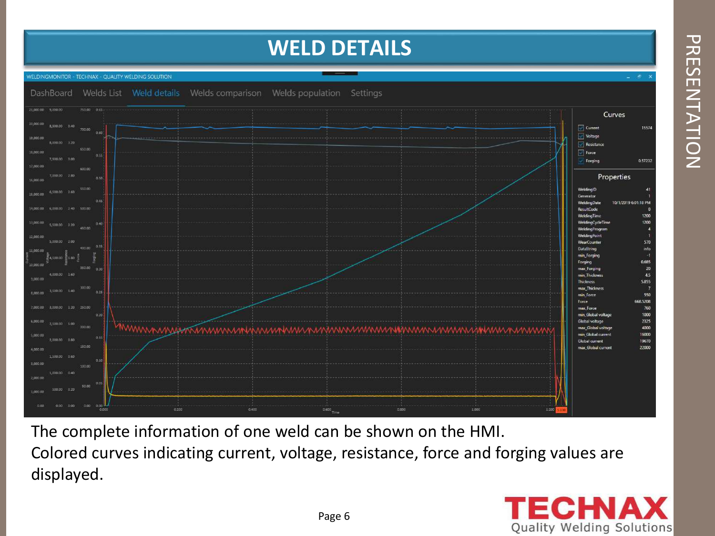### **WELD DETAILS**



The complete information of one weld can be shown on the HMI. Colored curves indicating current, voltage, resistance, force and forging values are displayed.

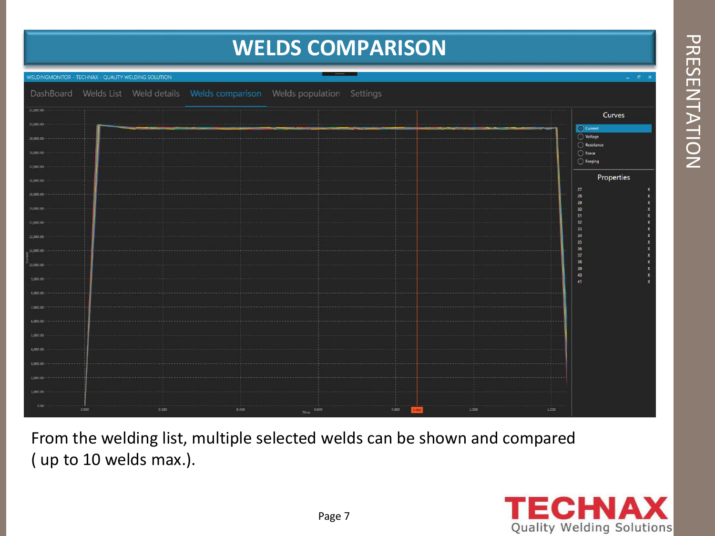### **WELDS COMPARISON**

| $-58$<br>WELDINGMONITOR - TECHNAX - QUALITY WELDING SOLUTION |       |       |                                                                              |               |       |       |       |                         |  |  |
|--------------------------------------------------------------|-------|-------|------------------------------------------------------------------------------|---------------|-------|-------|-------|-------------------------|--|--|
|                                                              |       |       | DashBoard Welds List Weld details Welds comparison Welds population Settings |               |       |       |       |                         |  |  |
| 21,000.00                                                    |       |       |                                                                              |               |       |       |       | Curves                  |  |  |
| 20,000.00                                                    |       |       |                                                                              |               |       |       |       | C Current               |  |  |
| 19,000.00 -                                                  |       |       |                                                                              |               |       |       |       | C Voltage<br>Resistance |  |  |
| 15,000.00                                                    |       |       |                                                                              |               |       |       |       | $\bigcirc$ Force        |  |  |
| 12,000.00                                                    |       |       |                                                                              |               |       |       |       | $\bigcirc$ Forging      |  |  |
| 16,000.00                                                    |       |       |                                                                              |               |       |       |       | Properties              |  |  |
| 15,000.00 -                                                  |       |       |                                                                              |               |       |       |       | 27<br>28<br>29          |  |  |
| 14,000.00                                                    |       |       |                                                                              |               |       |       |       | 30<br>31                |  |  |
| 13,800.00                                                    |       |       |                                                                              |               |       |       |       | 32<br>33                |  |  |
| 12,000.00                                                    |       |       |                                                                              |               |       |       |       | 34<br>35                |  |  |
| 11,000.00 --                                                 |       |       |                                                                              |               |       |       |       | 36<br>37<br>38          |  |  |
| 10,000.00                                                    |       |       |                                                                              |               |       |       |       | 39<br>40                |  |  |
| 9,000.00                                                     |       |       |                                                                              |               |       |       |       | 41                      |  |  |
| 3,000.00-                                                    |       |       |                                                                              |               |       |       |       |                         |  |  |
| 7,000.00 ~                                                   |       |       |                                                                              |               |       |       |       |                         |  |  |
| $6,000.00 +$                                                 |       |       |                                                                              |               |       |       |       |                         |  |  |
| 5,000.00                                                     |       |       |                                                                              |               |       |       |       |                         |  |  |
| 4,000,00                                                     |       |       |                                                                              |               |       |       |       |                         |  |  |
| $3,000.00 - -$                                               |       |       |                                                                              |               |       |       |       |                         |  |  |
| 2,000.00<br>1,000.00                                         |       |       |                                                                              |               |       |       |       |                         |  |  |
| $0.00 -$                                                     |       |       |                                                                              |               |       |       |       |                         |  |  |
|                                                              | 0.000 | 0.200 | 0.400                                                                        | 0:600<br>Time | 0.800 | 1:000 | 1.100 |                         |  |  |

From the welding list, multiple selected welds can be shown and compared ( up to 10 welds max.).

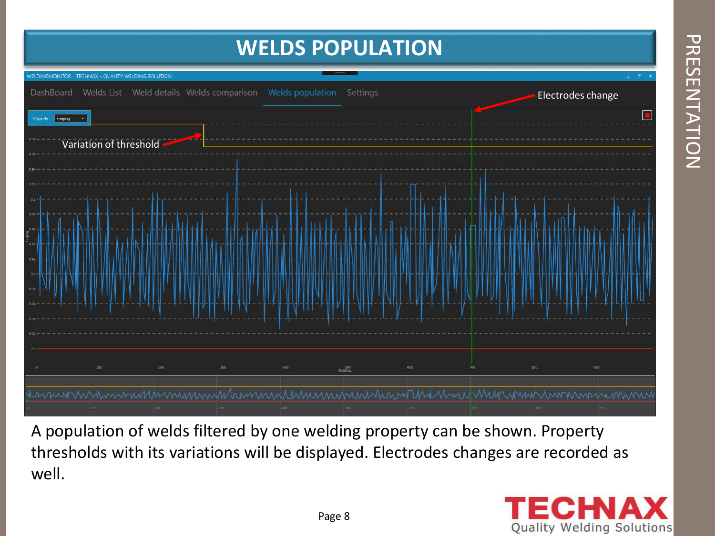### **WELDS POPULATION**



A population of welds filtered by one welding property can be shown. Property thresholds with its variations will be displayed. Electrodes changes are recorded as well.